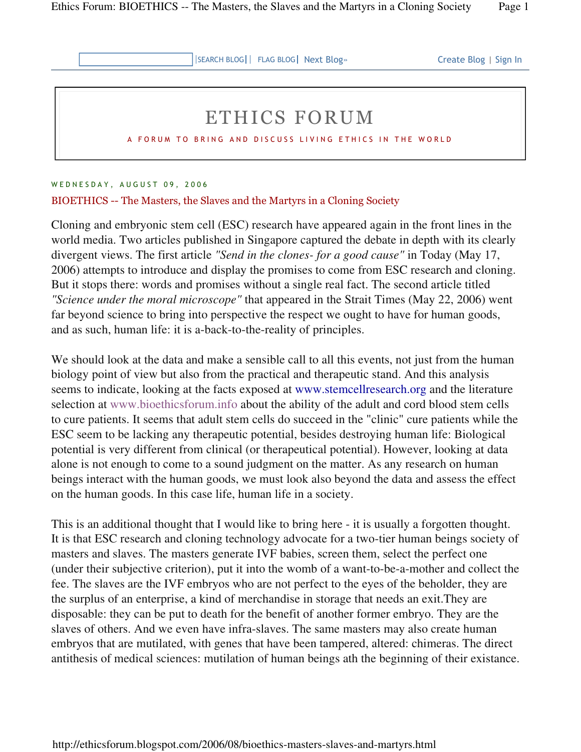SEARCH BLOG FLAG BLOG Next Blog» Create Blog | Sign In

## ETHICS FORUM

A FORUM TO BRING AND DISCUSS LIVING ETHICS IN THE WORLD

## W E D N E S D A Y, A U G U S T 09, 2006

## BIOETHICS -- The Masters, the Slaves and the Martyrs in a Cloning Society

Cloning and embryonic stem cell (ESC) research have appeared again in the front lines in the world media. Two articles published in Singapore captured the debate in depth with its clearly divergent views. The first article *"Send in the clones- for a good cause"* in Today (May 17, 2006) attempts to introduce and display the promises to come from ESC research and cloning. But it stops there: words and promises without a single real fact. The second article titled *"Science under the moral microscope"* that appeared in the Strait Times (May 22, 2006) went far beyond science to bring into perspective the respect we ought to have for human goods, and as such, human life: it is a-back-to-the-reality of principles.

We should look at the data and make a sensible call to all this events, not just from the human biology point of view but also from the practical and therapeutic stand. And this analysis seems to indicate, looking at the facts exposed at www.stemcellresearch.org and the literature selection at www.bioethicsforum.info about the ability of the adult and cord blood stem cells to cure patients. It seems that adult stem cells do succeed in the "clinic" cure patients while the ESC seem to be lacking any therapeutic potential, besides destroying human life: Biological potential is very different from clinical (or therapeutical potential). However, looking at data alone is not enough to come to a sound judgment on the matter. As any research on human beings interact with the human goods, we must look also beyond the data and assess the effect on the human goods. In this case life, human life in a society.

This is an additional thought that I would like to bring here - it is usually a forgotten thought. It is that ESC research and cloning technology advocate for a two-tier human beings society of masters and slaves. The masters generate IVF babies, screen them, select the perfect one (under their subjective criterion), put it into the womb of a want-to-be-a-mother and collect the fee. The slaves are the IVF embryos who are not perfect to the eyes of the beholder, they are the surplus of an enterprise, a kind of merchandise in storage that needs an exit.They are disposable: they can be put to death for the benefit of another former embryo. They are the slaves of others. And we even have infra-slaves. The same masters may also create human embryos that are mutilated, with genes that have been tampered, altered: chimeras. The direct antithesis of medical sciences: mutilation of human beings ath the beginning of their existance.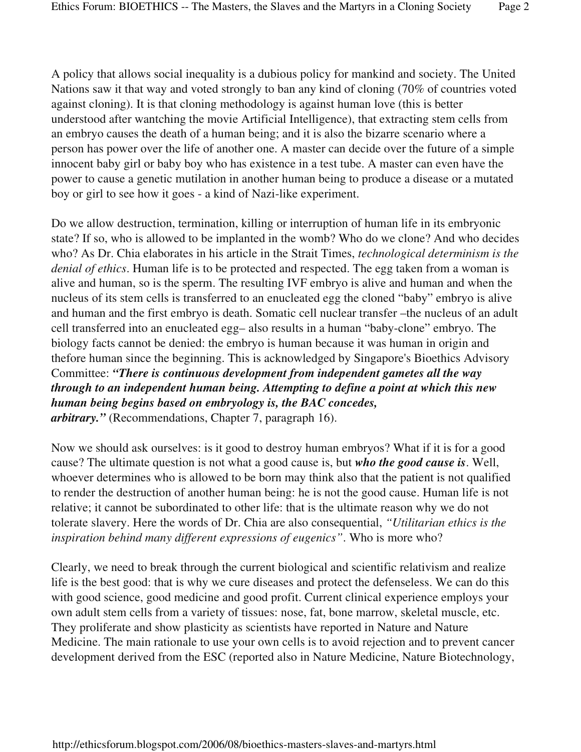A policy that allows social inequality is a dubious policy for mankind and society. The United Nations saw it that way and voted strongly to ban any kind of cloning (70% of countries voted against cloning). It is that cloning methodology is against human love (this is better understood after wantching the movie Artificial Intelligence), that extracting stem cells from an embryo causes the death of a human being; and it is also the bizarre scenario where a person has power over the life of another one. A master can decide over the future of a simple innocent baby girl or baby boy who has existence in a test tube. A master can even have the power to cause a genetic mutilation in another human being to produce a disease or a mutated boy or girl to see how it goes - a kind of Nazi-like experiment.

Do we allow destruction, termination, killing or interruption of human life in its embryonic state? If so, who is allowed to be implanted in the womb? Who do we clone? And who decides who? As Dr. Chia elaborates in his article in the Strait Times, *technological determinism is the denial of ethics*. Human life is to be protected and respected. The egg taken from a woman is alive and human, so is the sperm. The resulting IVF embryo is alive and human and when the nucleus of its stem cells is transferred to an enucleated egg the cloned "baby" embryo is alive and human and the first embryo is death. Somatic cell nuclear transfer –the nucleus of an adult cell transferred into an enucleated egg– also results in a human "baby-clone" embryo. The biology facts cannot be denied: the embryo is human because it was human in origin and thefore human since the beginning. This is acknowledged by Singapore's Bioethics Advisory Committee: *"There is continuous development from independent gametes all the way through to an independent human being. Attempting to define a point at which this new human being begins based on embryology is, the BAC concedes, arbitrary."* (Recommendations, Chapter 7, paragraph 16).

Now we should ask ourselves: is it good to destroy human embryos? What if it is for a good cause? The ultimate question is not what a good cause is, but *who the good cause is*. Well, whoever determines who is allowed to be born may think also that the patient is not qualified to render the destruction of another human being: he is not the good cause. Human life is not relative; it cannot be subordinated to other life: that is the ultimate reason why we do not tolerate slavery. Here the words of Dr. Chia are also consequential, *"Utilitarian ethics is the inspiration behind many different expressions of eugenics"*. Who is more who?

Clearly, we need to break through the current biological and scientific relativism and realize life is the best good: that is why we cure diseases and protect the defenseless. We can do this with good science, good medicine and good profit. Current clinical experience employs your own adult stem cells from a variety of tissues: nose, fat, bone marrow, skeletal muscle, etc. They proliferate and show plasticity as scientists have reported in Nature and Nature Medicine. The main rationale to use your own cells is to avoid rejection and to prevent cancer development derived from the ESC (reported also in Nature Medicine, Nature Biotechnology,